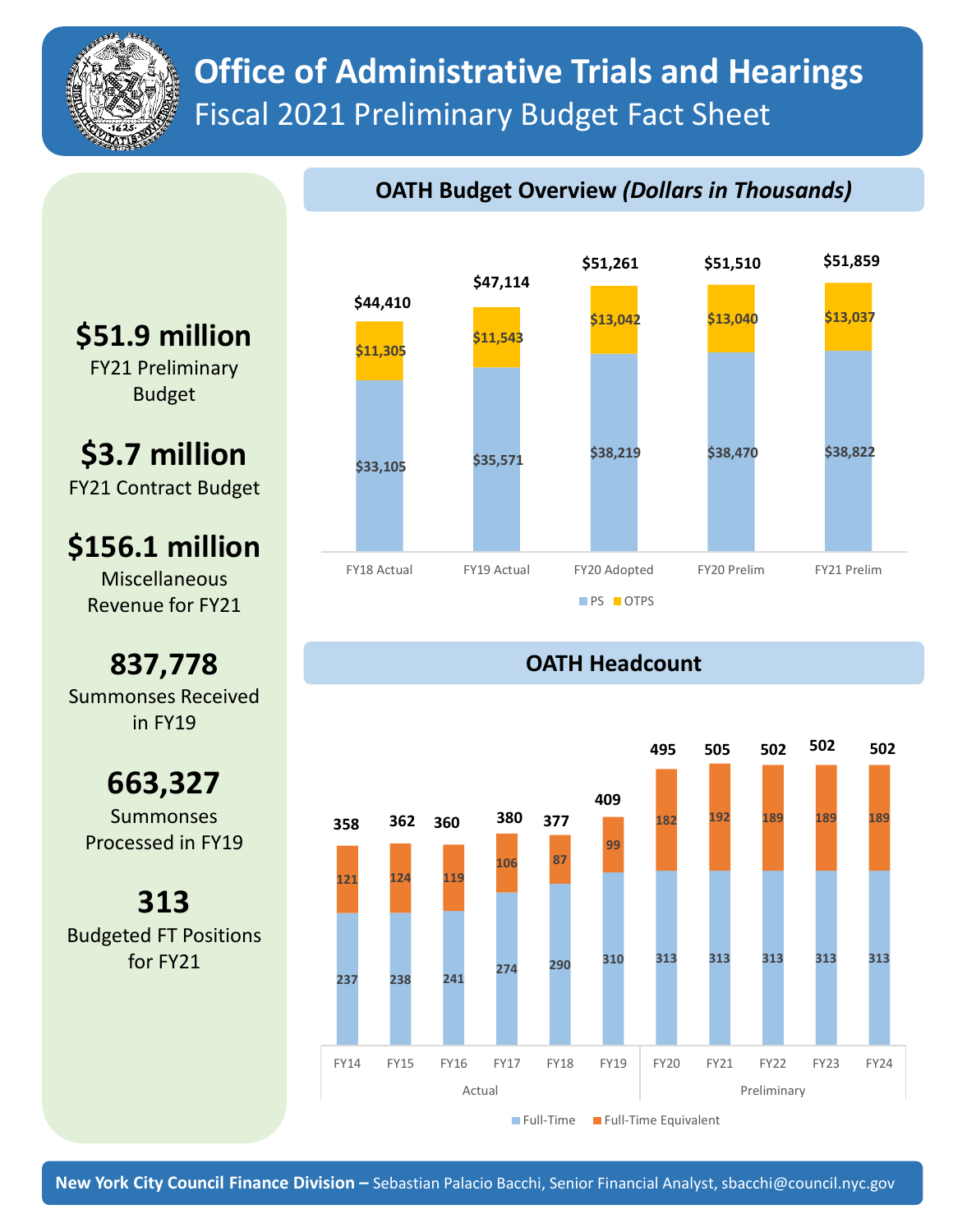

# **Office of Administrative Trials and Hearings** Fiscal 2021 Preliminary Budget Fact Sheet

#### **OATH Budget Overview** *(Dollars in Thousands)*



### **OATH Headcount**



**\$51.9 million**

FY21 Preliminary Budget

**\$3.7 million** FY21 Contract Budget

**\$156.1 million**

Miscellaneous Revenue for FY21

**837,778** Summonses Received in FY19

**663,327** Summonses Processed in FY19

**313** Budgeted FT Positions for FY21